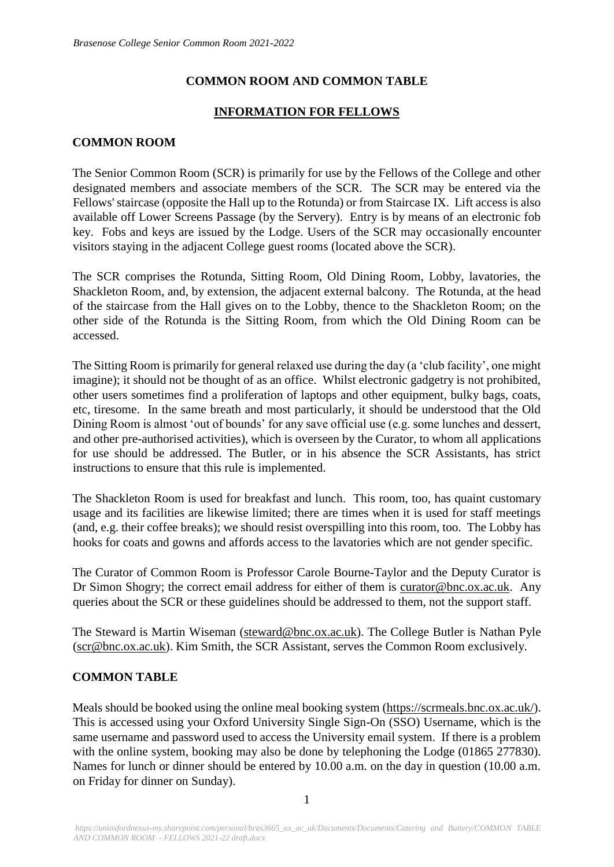## **COMMON ROOM AND COMMON TABLE**

## **INFORMATION FOR FELLOWS**

### **COMMON ROOM**

The Senior Common Room (SCR) is primarily for use by the Fellows of the College and other designated members and associate members of the SCR. The SCR may be entered via the Fellows' staircase (opposite the Hall up to the Rotunda) or from Staircase IX. Lift access is also available off Lower Screens Passage (by the Servery). Entry is by means of an electronic fob key. Fobs and keys are issued by the Lodge. Users of the SCR may occasionally encounter visitors staying in the adjacent College guest rooms (located above the SCR).

The SCR comprises the Rotunda, Sitting Room, Old Dining Room, Lobby, lavatories, the Shackleton Room, and, by extension, the adjacent external balcony. The Rotunda, at the head of the staircase from the Hall gives on to the Lobby, thence to the Shackleton Room; on the other side of the Rotunda is the Sitting Room, from which the Old Dining Room can be accessed.

The Sitting Room is primarily for general relaxed use during the day (a 'club facility', one might imagine); it should not be thought of as an office. Whilst electronic gadgetry is not prohibited, other users sometimes find a proliferation of laptops and other equipment, bulky bags, coats, etc, tiresome. In the same breath and most particularly, it should be understood that the Old Dining Room is almost 'out of bounds' for any save official use (e.g. some lunches and dessert, and other pre-authorised activities), which is overseen by the Curator, to whom all applications for use should be addressed. The Butler, or in his absence the SCR Assistants, has strict instructions to ensure that this rule is implemented.

The Shackleton Room is used for breakfast and lunch. This room, too, has quaint customary usage and its facilities are likewise limited; there are times when it is used for staff meetings (and, e.g. their coffee breaks); we should resist overspilling into this room, too. The Lobby has hooks for coats and gowns and affords access to the lavatories which are not gender specific.

The Curator of Common Room is Professor Carole Bourne-Taylor and the Deputy Curator is Dr Simon Shogry; the correct email address for either of them is curator@bnc.ox.ac.uk. Any queries about the SCR or these guidelines should be addressed to them, not the support staff.

The Steward is Martin Wiseman (steward@bnc.ox.ac.uk). The College Butler is Nathan Pyle (scr@bnc.ox.ac.uk). Kim Smith, the SCR Assistant, serves the Common Room exclusively.

### **COMMON TABLE**

Meals should be booked using the online meal booking system [\(https://scrmeals.bnc.ox.ac.uk/\).](https://scrmeals.bnc.ox.ac.uk/) This is accessed using your Oxford University Single Sign-On (SSO) Username, which is the same username and password used to access the University email system. If there is a problem with the online system, booking may also be done by telephoning the Lodge (01865 277830). Names for lunch or dinner should be entered by 10.00 a.m. on the day in question (10.00 a.m. on Friday for dinner on Sunday).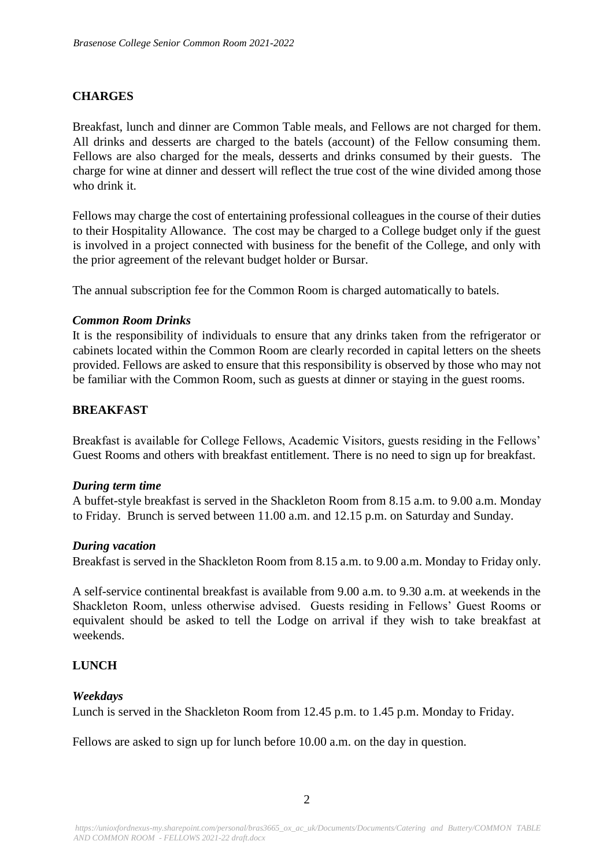## **CHARGES**

Breakfast, lunch and dinner are Common Table meals, and Fellows are not charged for them. All drinks and desserts are charged to the batels (account) of the Fellow consuming them. Fellows are also charged for the meals, desserts and drinks consumed by their guests. The charge for wine at dinner and dessert will reflect the true cost of the wine divided among those who drink it.

Fellows may charge the cost of entertaining professional colleagues in the course of their duties to their Hospitality Allowance. The cost may be charged to a College budget only if the guest is involved in a project connected with business for the benefit of the College, and only with the prior agreement of the relevant budget holder or Bursar.

The annual subscription fee for the Common Room is charged automatically to batels.

#### *Common Room Drinks*

It is the responsibility of individuals to ensure that any drinks taken from the refrigerator or cabinets located within the Common Room are clearly recorded in capital letters on the sheets provided. Fellows are asked to ensure that this responsibility is observed by those who may not be familiar with the Common Room, such as guests at dinner or staying in the guest rooms.

## **BREAKFAST**

Breakfast is available for College Fellows, Academic Visitors, guests residing in the Fellows' Guest Rooms and others with breakfast entitlement. There is no need to sign up for breakfast.

### *During term time*

A buffet-style breakfast is served in the Shackleton Room from 8.15 a.m. to 9.00 a.m. Monday to Friday. Brunch is served between 11.00 a.m. and 12.15 p.m. on Saturday and Sunday.

#### *During vacation*

Breakfast is served in the Shackleton Room from 8.15 a.m. to 9.00 a.m. Monday to Friday only.

A self-service continental breakfast is available from 9.00 a.m. to 9.30 a.m. at weekends in the Shackleton Room, unless otherwise advised. Guests residing in Fellows' Guest Rooms or equivalent should be asked to tell the Lodge on arrival if they wish to take breakfast at weekends.

### **LUNCH**

### *Weekdays*

Lunch is served in the Shackleton Room from 12.45 p.m. to 1.45 p.m. Monday to Friday.

Fellows are asked to sign up for lunch before 10.00 a.m. on the day in question.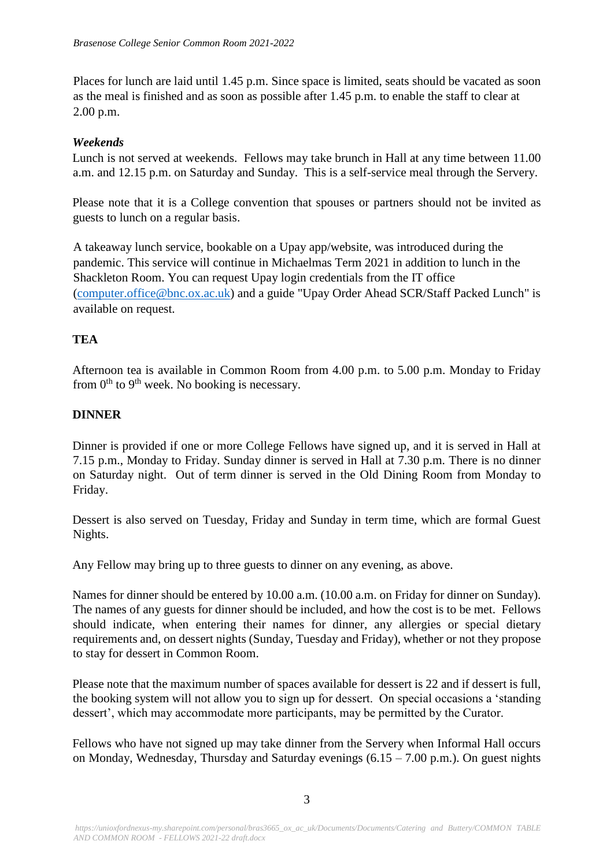Places for lunch are laid until 1.45 p.m. Since space is limited, seats should be vacated as soon as the meal is finished and as soon as possible after 1.45 p.m. to enable the staff to clear at 2.00 p.m.

## *Weekends*

Lunch is not served at weekends. Fellows may take brunch in Hall at any time between 11.00 a.m. and 12.15 p.m. on Saturday and Sunday. This is a self-service meal through the Servery.

Please note that it is a College convention that spouses or partners should not be invited as guests to lunch on a regular basis.

A takeaway lunch service, bookable on a Upay app/website, was introduced during the pandemic. This service will continue in Michaelmas Term 2021 in addition to lunch in the Shackleton Room. You can request Upay login credentials from the IT office [\(computer.office@bnc.ox.ac.uk\)](mailto:computer.office@bnc.ox.ac.uk) and a guide "Upay Order Ahead SCR/Staff Packed Lunch" is available on request.

# **TEA**

Afternoon tea is available in Common Room from 4.00 p.m. to 5.00 p.m. Monday to Friday from  $0<sup>th</sup>$  to  $9<sup>th</sup>$  week. No booking is necessary.

# **DINNER**

Dinner is provided if one or more College Fellows have signed up, and it is served in Hall at 7.15 p.m., Monday to Friday. Sunday dinner is served in Hall at 7.30 p.m. There is no dinner on Saturday night. Out of term dinner is served in the Old Dining Room from Monday to Friday.

Dessert is also served on Tuesday, Friday and Sunday in term time, which are formal Guest Nights.

Any Fellow may bring up to three guests to dinner on any evening, as above.

Names for dinner should be entered by 10.00 a.m. (10.00 a.m. on Friday for dinner on Sunday). The names of any guests for dinner should be included, and how the cost is to be met. Fellows should indicate, when entering their names for dinner, any allergies or special dietary requirements and, on dessert nights (Sunday, Tuesday and Friday), whether or not they propose to stay for dessert in Common Room.

Please note that the maximum number of spaces available for dessert is 22 and if dessert is full, the booking system will not allow you to sign up for dessert. On special occasions a 'standing dessert', which may accommodate more participants, may be permitted by the Curator.

Fellows who have not signed up may take dinner from the Servery when Informal Hall occurs on Monday, Wednesday, Thursday and Saturday evenings  $(6.15 - 7.00 \text{ p.m.})$ . On guest nights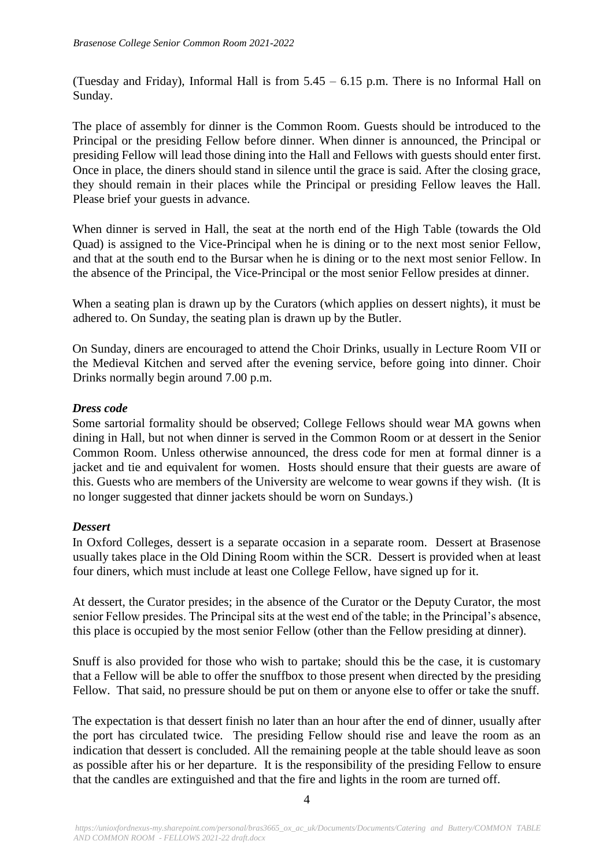(Tuesday and Friday), Informal Hall is from 5.45 – 6.15 p.m. There is no Informal Hall on Sunday.

The place of assembly for dinner is the Common Room. Guests should be introduced to the Principal or the presiding Fellow before dinner. When dinner is announced, the Principal or presiding Fellow will lead those dining into the Hall and Fellows with guests should enter first. Once in place, the diners should stand in silence until the grace is said. After the closing grace, they should remain in their places while the Principal or presiding Fellow leaves the Hall. Please brief your guests in advance.

When dinner is served in Hall, the seat at the north end of the High Table (towards the Old Quad) is assigned to the Vice-Principal when he is dining or to the next most senior Fellow, and that at the south end to the Bursar when he is dining or to the next most senior Fellow. In the absence of the Principal, the Vice-Principal or the most senior Fellow presides at dinner.

When a seating plan is drawn up by the Curators (which applies on dessert nights), it must be adhered to. On Sunday, the seating plan is drawn up by the Butler.

On Sunday, diners are encouraged to attend the Choir Drinks, usually in Lecture Room VII or the Medieval Kitchen and served after the evening service, before going into dinner. Choir Drinks normally begin around 7.00 p.m.

## *Dress code*

Some sartorial formality should be observed; College Fellows should wear MA gowns when dining in Hall, but not when dinner is served in the Common Room or at dessert in the Senior Common Room. Unless otherwise announced, the dress code for men at formal dinner is a jacket and tie and equivalent for women. Hosts should ensure that their guests are aware of this. Guests who are members of the University are welcome to wear gowns if they wish. (It is no longer suggested that dinner jackets should be worn on Sundays.)

### *Dessert*

In Oxford Colleges, dessert is a separate occasion in a separate room. Dessert at Brasenose usually takes place in the Old Dining Room within the SCR. Dessert is provided when at least four diners, which must include at least one College Fellow, have signed up for it.

At dessert, the Curator presides; in the absence of the Curator or the Deputy Curator, the most senior Fellow presides. The Principal sits at the west end of the table; in the Principal's absence, this place is occupied by the most senior Fellow (other than the Fellow presiding at dinner).

Snuff is also provided for those who wish to partake; should this be the case, it is customary that a Fellow will be able to offer the snuffbox to those present when directed by the presiding Fellow. That said, no pressure should be put on them or anyone else to offer or take the snuff.

The expectation is that dessert finish no later than an hour after the end of dinner, usually after the port has circulated twice. The presiding Fellow should rise and leave the room as an indication that dessert is concluded. All the remaining people at the table should leave as soon as possible after his or her departure. It is the responsibility of the presiding Fellow to ensure that the candles are extinguished and that the fire and lights in the room are turned off.